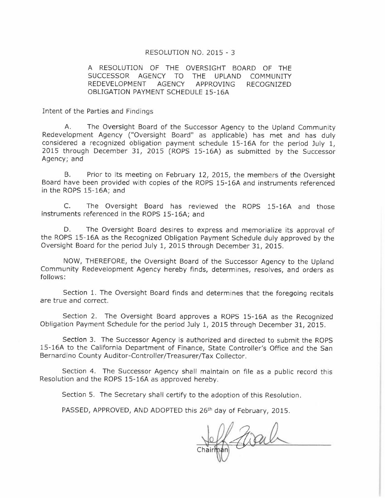### RESOLUTION NO. 2015 - 3

#### A RESOLUTION OF THE OVERSIGHT BOARD OF THE SUCCESSOR AGENCY TO THE UPLAND COMMUNITY REDEVELOPMENT **AGENCY** APPROVING **RECOGNIZED OBLIGATION PAYMENT SCHEDULE 15-16A**

Intent of the Parties and Findings

The Oversight Board of the Successor Agency to the Upland Community  $A_{-}$ Redevelopment Agency ("Oversight Board" as applicable) has met and has duly considered a recognized obligation payment schedule 15-16A for the period July 1, 2015 through December 31, 2015 (ROPS 15-16A) as submitted by the Successor Agency; and

Β. Prior to its meeting on February 12, 2015, the members of the Oversight Board have been provided with copies of the ROPS 15-16A and instruments referenced in the ROPS 15-16A; and

 $C_{1}$ The Oversight Board has reviewed the ROPS 15-16A and those instruments referenced in the ROPS 15-16A; and

D. The Oversight Board desires to express and memorialize its approval of the ROPS 15-16A as the Recognized Obligation Payment Schedule duly approved by the Oversight Board for the period July 1, 2015 through December 31, 2015.

NOW, THEREFORE, the Oversight Board of the Successor Agency to the Upland Community Redevelopment Agency hereby finds, determines, resolves, and orders as follows:

Section 1. The Oversight Board finds and determines that the foregoing recitals are true and correct.

Section 2. The Oversight Board approves a ROPS 15-16A as the Recognized Obligation Payment Schedule for the period July 1, 2015 through December 31, 2015.

Section 3. The Successor Agency is authorized and directed to submit the ROPS 15-16A to the California Department of Finance, State Controller's Office and the San Bernardino County Auditor-Controller/Treasurer/Tax Collector.

Section 4. The Successor Agency shall maintain on file as a public record this Resolution and the ROPS 15-16A as approved hereby.

Section 5. The Secretary shall certify to the adoption of this Resolution.

PASSED, APPROVED, AND ADOPTED this 26<sup>th</sup> day of February, 2015.

farall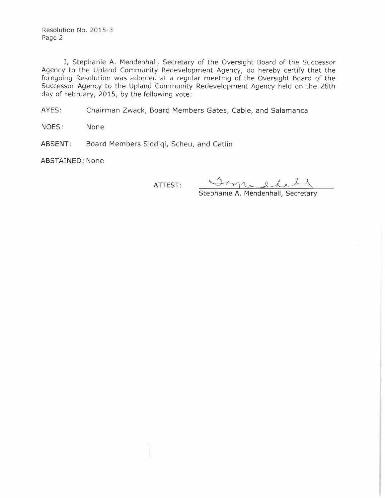Resolution No. 2015-3 Page 2

I, Stephanie A. Mendenhall, Secretary of the Oversight Board of the Successor Agency to the Upland Community Redevelopment Agency, do hereby certify that the foregoing Resolution was adopted at a regular meeting of the Oversight Board of the Successor Agency to the Upland Community Redevelopment Agency held on the 26th day of February, 2015, by the following vote:

AYES: Chairman Zwack, Board Members Gates, Cable, and Salamanca

NOES: None

Board Members Siddiqi, Scheu, and Catlin ABSENT:

ABSTAINED: None

ATTEST:

Samadhel

Stephanie A. Mendenhall, Secretary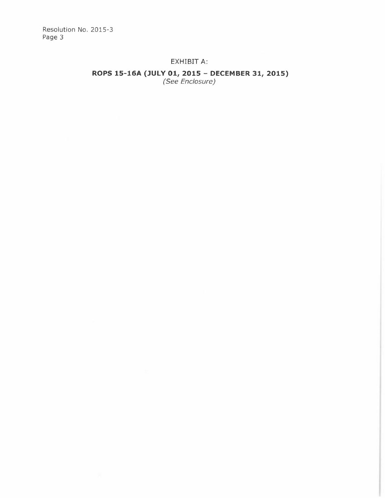Resolution No. 2015-3 Page 3

## EXHIBIT A:

# ROPS 15-16A (JULY 01, 2015 - DECEMBER 31, 2015)<br>(See Enclosure)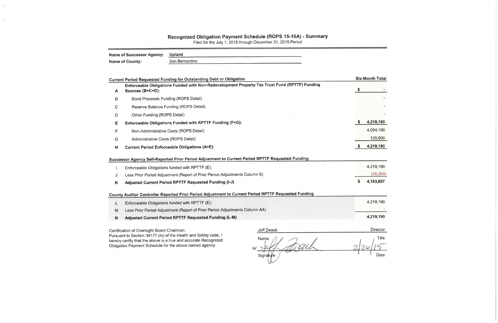# Recognized Obligation Payment Schedule (ROPS 15-16A) - Summary<br>Filed for the July 1, 2015 through December 31, 2015 Period

| <b>Name of Successor Agency:</b> | Upland         |
|----------------------------------|----------------|
| <b>Name of County:</b>           | San Bernardino |

|                                                          |                                                                                                                                                                                                                                                                                                                                                                            |                                                                                                                                                                                                                                                                                                                                                                                                                                                                        | <b>Six-Month Total</b> |
|----------------------------------------------------------|----------------------------------------------------------------------------------------------------------------------------------------------------------------------------------------------------------------------------------------------------------------------------------------------------------------------------------------------------------------------------|------------------------------------------------------------------------------------------------------------------------------------------------------------------------------------------------------------------------------------------------------------------------------------------------------------------------------------------------------------------------------------------------------------------------------------------------------------------------|------------------------|
| Sources (B+C+D):                                         |                                                                                                                                                                                                                                                                                                                                                                            |                                                                                                                                                                                                                                                                                                                                                                                                                                                                        |                        |
| Bond Proceeds Funding (ROPS Detail)                      |                                                                                                                                                                                                                                                                                                                                                                            |                                                                                                                                                                                                                                                                                                                                                                                                                                                                        |                        |
| Reserve Balance Funding (ROPS Detail)                    |                                                                                                                                                                                                                                                                                                                                                                            |                                                                                                                                                                                                                                                                                                                                                                                                                                                                        |                        |
| Other Funding (ROPS Detail)                              |                                                                                                                                                                                                                                                                                                                                                                            |                                                                                                                                                                                                                                                                                                                                                                                                                                                                        |                        |
| Enforceable Obligations Funded with RPTTF Funding (F+G): |                                                                                                                                                                                                                                                                                                                                                                            |                                                                                                                                                                                                                                                                                                                                                                                                                                                                        | 4,219,190              |
| Non-Administrative Costs (ROPS Detail)                   |                                                                                                                                                                                                                                                                                                                                                                            |                                                                                                                                                                                                                                                                                                                                                                                                                                                                        | 4,094,190              |
| Administrative Costs (ROPS Detail)                       |                                                                                                                                                                                                                                                                                                                                                                            |                                                                                                                                                                                                                                                                                                                                                                                                                                                                        | 125,000                |
| <b>Current Period Enforceable Obligations (A+E):</b>     |                                                                                                                                                                                                                                                                                                                                                                            | S                                                                                                                                                                                                                                                                                                                                                                                                                                                                      | 4,219,190              |
|                                                          |                                                                                                                                                                                                                                                                                                                                                                            |                                                                                                                                                                                                                                                                                                                                                                                                                                                                        | 4,219,190              |
|                                                          |                                                                                                                                                                                                                                                                                                                                                                            |                                                                                                                                                                                                                                                                                                                                                                                                                                                                        | (35, 293)              |
| Adjusted Current Period RPTTF Requested Funding (I-J)    | S                                                                                                                                                                                                                                                                                                                                                                          | 4,183,897                                                                                                                                                                                                                                                                                                                                                                                                                                                              |                        |
|                                                          |                                                                                                                                                                                                                                                                                                                                                                            |                                                                                                                                                                                                                                                                                                                                                                                                                                                                        |                        |
| Enforceable Obligations funded with RPTTF (E):           |                                                                                                                                                                                                                                                                                                                                                                            |                                                                                                                                                                                                                                                                                                                                                                                                                                                                        | 4,219,190              |
|                                                          |                                                                                                                                                                                                                                                                                                                                                                            |                                                                                                                                                                                                                                                                                                                                                                                                                                                                        |                        |
| Adjusted Current Period RPTTF Requested Funding (L-M)    |                                                                                                                                                                                                                                                                                                                                                                            |                                                                                                                                                                                                                                                                                                                                                                                                                                                                        | 4,219,190              |
|                                                          | Jeff Zwack                                                                                                                                                                                                                                                                                                                                                                 |                                                                                                                                                                                                                                                                                                                                                                                                                                                                        | Director               |
|                                                          | Name<br>$\sqrt{s}$<br>Signature                                                                                                                                                                                                                                                                                                                                            |                                                                                                                                                                                                                                                                                                                                                                                                                                                                        | Title<br>Date          |
|                                                          | <b>Current Period Requested Funding for Outstanding Debt or Obligation</b><br>Enforceable Obligations funded with RPTTF (E):<br>Certification of Oversight Board Chairman:<br>Pursuant to Section 34177 (m) of the Health and Safety code, I<br>hereby certify that the above is a true and accurate Recognized<br>Obligation Payment Schedule for the above named agency. | Enforceable Obligations Funded with Non-Redevelopment Property Tax Trust Fund (RPTTF) Funding<br>Successor Agency Self-Reported Prior Period Adjustment to Current Period RPTTF Requested Funding<br>Less Prior Period Adjustment (Report of Prior Period Adjustments Column S)<br>County Auditor Controller Reported Prior Period Adjustment to Current Period RPTTF Requested Funding<br>Less Prior Period Adjustment (Report of Prior Period Adjustments Column AA) |                        |

- 
-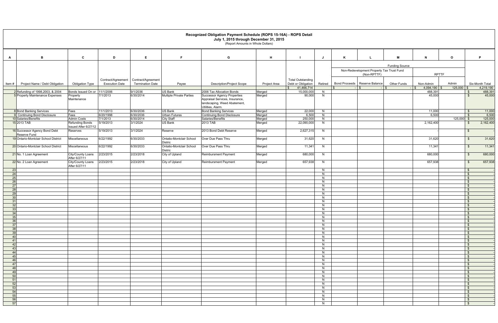|                 | Recognized Obligation Payment Schedule (ROPS 15-16A) - ROPS Detail<br>July 1, 2015 through December 31, 2015<br>(Report Amounts in Whole Dollars) |                                              |                       |                         |                                            |                                                                                     |                  |                          |         |                                           |                       |                      |              |                              |
|-----------------|---------------------------------------------------------------------------------------------------------------------------------------------------|----------------------------------------------|-----------------------|-------------------------|--------------------------------------------|-------------------------------------------------------------------------------------|------------------|--------------------------|---------|-------------------------------------------|-----------------------|----------------------|--------------|------------------------------|
| A               | В.                                                                                                                                                | $\mathbf{c}$                                 | D                     | E                       |                                            | G                                                                                   | H                |                          |         |                                           | M                     | N                    | $\mathbf{o}$ | P.                           |
|                 |                                                                                                                                                   |                                              |                       |                         |                                            |                                                                                     |                  |                          |         |                                           |                       |                      |              |                              |
|                 |                                                                                                                                                   |                                              |                       |                         |                                            |                                                                                     |                  |                          |         | Non-Redevelopment Property Tax Trust Fund | <b>Funding Source</b> |                      |              |                              |
|                 |                                                                                                                                                   |                                              |                       |                         |                                            |                                                                                     |                  |                          |         | (Non-RPTTF)                               |                       | <b>RPTTF</b>         |              |                              |
|                 |                                                                                                                                                   |                                              | Contract/Agreement    | Contract/Agreement      |                                            |                                                                                     |                  | <b>Total Outstanding</b> |         |                                           |                       |                      |              |                              |
| Item#           | Project Name / Debt Obligation                                                                                                                    | <b>Obligation Type</b>                       | <b>Execution Date</b> | <b>Termination Date</b> | Payee                                      | <b>Description/Project Scope</b>                                                    | Project Area     | Debt or Obligation       | Retired | Bond Proceeds Reserve Balance             | <b>Other Funds</b>    | Non-Admin            | Admin        | Six-Month Total              |
|                 | 2 Refunding of 1998,2003, & 2004                                                                                                                  | Bonds Issued On or 11/1/2006                 |                       | 9/1/2036                | <b>US Bank</b>                             | 2006 Tax Allocation Bonds                                                           | Merged           | 41,466,714<br>15,000,00  | N       | $\mathbf{R}$                              |                       | 4,094,190<br>488,391 | 125,000      | 4,219,190<br>488,391<br>_\$  |
|                 | 5 Property Maintenance Expenses                                                                                                                   | Property                                     | 7/1/2013              | 6/30/2014               | <b>Multiple Private Parties</b>            | <b>Successor Agency Properties</b>                                                  | Merged           | 90,000                   | N       |                                           |                       | 45,000               |              | 45,000<br>- \$               |
|                 |                                                                                                                                                   | Maintenance                                  |                       |                         |                                            | Appraisal Services, Insurance,<br>landscaping, Weed Abatement,<br>Utilities, Alarm. |                  |                          |         |                                           |                       |                      |              |                              |
|                 | 8 Bond Banking Services                                                                                                                           | Fees                                         | 11/1/2013             | 6/30/2036               | <b>US Bank</b>                             | <b>Bond Banking Services</b>                                                        | Merged           | 22,000                   | N       |                                           |                       | 11,000               |              | 11,000<br>\$                 |
|                 | <b>P</b> Continuing Bond Disclosure                                                                                                               | Fees                                         | 6/20/1998             | 6/30/2036               | <b>Urban Futures</b>                       | <b>Continuing Bond Disclosure</b>                                                   | Merged           | 6,500                    | N       |                                           |                       | 6,500                |              | 6,500<br>\$                  |
|                 | 10 Salaries/Benefits<br>15 2013 TAB                                                                                                               | <b>Admin Costs</b><br><b>Refunding Bonds</b> | 7/1/2013<br>5/19/2013 | 6/30/2014<br>3/1/2024   | <b>City Staff</b><br><b>US Bank</b>        | Salaries/Benefits<br>2013 TAB                                                       | Merged<br>Merged | 250,000<br>22,090,000    | N<br>N  |                                           |                       | 2,162,400            | $125,000$ \$ | 125,000<br>2,162,400<br>\$.  |
|                 |                                                                                                                                                   | Issued After 6/27/12                         |                       |                         |                                            |                                                                                     |                  |                          |         |                                           |                       |                      |              |                              |
|                 | 16 Successor Agency Bond Debt<br>Reserve Fund                                                                                                     | Reserves                                     | 5/19/2013             | 3/1/2024                | Reserve                                    | 2013 Bond Debt Reserve                                                              | Merged           | 2,627,315                | N       |                                           |                       |                      |              | - \$                         |
|                 | 19 Ontario-Montclair School District                                                                                                              | Miscellaneous                                | 6/22/1992             | 6/30/2033               | Ontatio-Montclair School<br><b>Distric</b> | Over Due Pass Thru                                                                  | Merged           | 31,620                   | N       |                                           |                       | 31,620               |              | 31,620<br>\$                 |
|                 | 20 Ontario-Montclair School District                                                                                                              | Miscellaneous                                | 6/22/1992             | 6/30/2033               | Ontatio-Montclair School<br><b>Distric</b> | Over Due Pass Thru                                                                  | Merged           | 11,341                   | N.      |                                           |                       | 11,341               |              | 11,341<br>- \$               |
|                 | 21 No. 1 Loan Agreement                                                                                                                           | <b>City/County Loans</b><br>After 6/27/11    | 2/23/2015             | 2/23/2018               | City of Upland                             | <b>Reimbursment Payment</b>                                                         | Merged           | 680,000                  | N.      |                                           |                       | 680,000              |              | 680,000<br>-\$               |
|                 | 22 No. 2 Loan Agreement                                                                                                                           | <b>City/County Loans</b><br>After 6/27/11    | 2/23/2015             | 2/23/2018               | City of Upland                             | Reimbursment Payment                                                                | Merged           | 657,938                  | N       |                                           |                       | 657,938              |              | 657,938<br>- \$              |
| 23<br>24        |                                                                                                                                                   |                                              |                       |                         |                                            |                                                                                     |                  |                          | N<br>N. |                                           |                       |                      |              | - \$<br>- \$                 |
| 25              |                                                                                                                                                   |                                              |                       |                         |                                            |                                                                                     |                  |                          | N       |                                           |                       |                      |              | $\mathbf{s}$                 |
| 26              |                                                                                                                                                   |                                              |                       |                         |                                            |                                                                                     |                  |                          | N       |                                           |                       |                      |              | \$                           |
| 27<br>28        |                                                                                                                                                   |                                              |                       |                         |                                            |                                                                                     |                  |                          | N.<br>N |                                           |                       |                      |              | - \$<br>\$                   |
| 29              |                                                                                                                                                   |                                              |                       |                         |                                            |                                                                                     |                  |                          | N       |                                           |                       |                      |              | - \$                         |
| 30 <sup>l</sup> |                                                                                                                                                   |                                              |                       |                         |                                            |                                                                                     |                  |                          | N       |                                           |                       |                      |              | \$                           |
| 31<br>32        |                                                                                                                                                   |                                              |                       |                         |                                            |                                                                                     |                  |                          | N<br>N. |                                           |                       |                      |              | - S<br>\$                    |
| 33              |                                                                                                                                                   |                                              |                       |                         |                                            |                                                                                     |                  |                          | N       |                                           |                       |                      |              | \$                           |
| 34              |                                                                                                                                                   |                                              |                       |                         |                                            |                                                                                     |                  |                          | N.      |                                           |                       |                      |              |                              |
| 35<br>36        |                                                                                                                                                   |                                              |                       |                         |                                            |                                                                                     |                  |                          | N<br>N  |                                           |                       |                      |              | $\mathfrak{S}$<br>\$         |
| 37              |                                                                                                                                                   |                                              |                       |                         |                                            |                                                                                     |                  |                          | N       |                                           |                       |                      |              | \$                           |
| 38              |                                                                                                                                                   |                                              |                       |                         |                                            |                                                                                     |                  |                          | N       |                                           |                       |                      |              | $\mathfrak{S}$               |
| 39<br>40        |                                                                                                                                                   |                                              |                       |                         |                                            |                                                                                     |                  |                          | N<br>N  |                                           |                       |                      |              | \$<br>$\mathfrak{S}$         |
| 41              |                                                                                                                                                   |                                              |                       |                         |                                            |                                                                                     |                  |                          | N       |                                           |                       |                      |              | \$                           |
| 42              |                                                                                                                                                   |                                              |                       |                         |                                            |                                                                                     |                  |                          | N       |                                           |                       |                      |              | $\sqrt{3}$                   |
| 43<br>44        |                                                                                                                                                   |                                              |                       |                         |                                            |                                                                                     |                  |                          | N<br>N  |                                           |                       |                      |              | $\mathfrak{S}$<br>\$         |
| 45              |                                                                                                                                                   |                                              |                       |                         |                                            |                                                                                     |                  |                          | N       |                                           |                       |                      |              | \$                           |
| - 46            |                                                                                                                                                   |                                              |                       |                         |                                            |                                                                                     |                  |                          | N       |                                           |                       |                      |              | \$                           |
| 47<br>- 48      |                                                                                                                                                   |                                              |                       |                         |                                            |                                                                                     |                  |                          | N<br>N  |                                           |                       |                      |              | $\sqrt{3}$<br>$\mathfrak{S}$ |
| 49              |                                                                                                                                                   |                                              |                       |                         |                                            |                                                                                     |                  |                          | N       |                                           |                       |                      |              | $\mathfrak{S}$               |
| 50<br>51        |                                                                                                                                                   |                                              |                       |                         |                                            |                                                                                     |                  |                          | N       |                                           |                       |                      |              | $\mathfrak{S}$               |
| 52              |                                                                                                                                                   |                                              |                       |                         |                                            |                                                                                     |                  |                          | N<br>N  |                                           |                       |                      |              | \$<br>\$                     |
| 53              |                                                                                                                                                   |                                              |                       |                         |                                            |                                                                                     |                  |                          | N       |                                           |                       |                      |              | \$                           |
| 54<br>55        |                                                                                                                                                   |                                              |                       |                         |                                            |                                                                                     |                  |                          | N<br>N  |                                           |                       |                      |              | $\sqrt{3}$<br>\$             |
| 56              |                                                                                                                                                   |                                              |                       |                         |                                            |                                                                                     |                  |                          | N       |                                           |                       |                      |              | $\sqrt{3}$                   |
| 57              |                                                                                                                                                   |                                              |                       |                         |                                            |                                                                                     |                  |                          | N       |                                           |                       |                      |              | $\sqrt{3}$                   |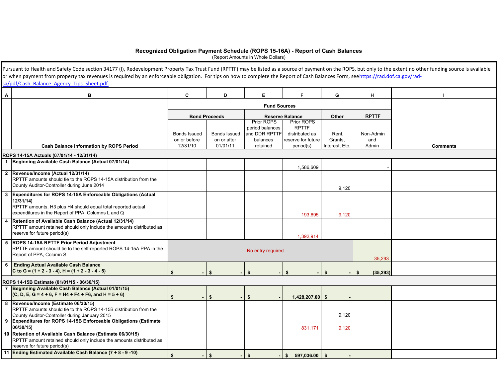#### **Recognized Obligation Payment Schedule (ROPS 15-16A) - Report of Cash Balances**

(Report Amounts in Whole Dollars)

|   | Pursuant to Health and Safety Code section 34177 (I), Redevelopment Property Tax Trust Fund (RPTTF) may be listed as a source of payment on the ROPS, but only to the extent no other funding source is available<br>or when payment from property tax revenues is required by an enforceable obligation. For tips on how to complete the Report of Cash Balances Form, seehttps://rad.dof.ca.gov/rad-<br>sa/pdf/Cash Balance Agency Tips Sheet.pdf. |                          |                         |                                      |                                 |                           |                     |                 |
|---|------------------------------------------------------------------------------------------------------------------------------------------------------------------------------------------------------------------------------------------------------------------------------------------------------------------------------------------------------------------------------------------------------------------------------------------------------|--------------------------|-------------------------|--------------------------------------|---------------------------------|---------------------------|---------------------|-----------------|
| A | В                                                                                                                                                                                                                                                                                                                                                                                                                                                    | C                        | D                       | E.                                   | F.                              | G                         | н                   |                 |
|   |                                                                                                                                                                                                                                                                                                                                                                                                                                                      |                          |                         | <b>Fund Sources</b>                  |                                 |                           |                     |                 |
|   |                                                                                                                                                                                                                                                                                                                                                                                                                                                      |                          | <b>Bond Proceeds</b>    |                                      | <b>Reserve Balance</b>          | Other                     | <b>RPTTF</b>        |                 |
|   |                                                                                                                                                                                                                                                                                                                                                                                                                                                      |                          |                         | <b>Prior ROPS</b><br>period balances | Prior ROPS<br><b>RPTTF</b>      |                           |                     |                 |
|   |                                                                                                                                                                                                                                                                                                                                                                                                                                                      | <b>Bonds Issued</b>      | <b>Bonds Issued</b>     | and DDR RPTTF                        | distributed as                  | Rent,                     | Non-Admin           |                 |
|   | <b>Cash Balance Information by ROPS Period</b>                                                                                                                                                                                                                                                                                                                                                                                                       | on or before<br>12/31/10 | on or after<br>01/01/11 | balances<br>retained                 | reserve for future<br>period(s) | Grants,<br>Interest, Etc. | and<br>Admin        | <b>Comments</b> |
|   |                                                                                                                                                                                                                                                                                                                                                                                                                                                      |                          |                         |                                      |                                 |                           |                     |                 |
|   | ROPS 14-15A Actuals (07/01/14 - 12/31/14)<br>1 Beginning Available Cash Balance (Actual 07/01/14)                                                                                                                                                                                                                                                                                                                                                    |                          |                         |                                      |                                 |                           |                     |                 |
|   |                                                                                                                                                                                                                                                                                                                                                                                                                                                      |                          |                         |                                      | 1,586,609                       |                           |                     |                 |
|   | 2 Revenue/Income (Actual 12/31/14)<br>RPTTF amounts should tie to the ROPS 14-15A distribution from the<br>County Auditor-Controller during June 2014                                                                                                                                                                                                                                                                                                |                          |                         |                                      |                                 | 9,120                     |                     |                 |
|   | 3 Expenditures for ROPS 14-15A Enforceable Obligations (Actual<br>12/31/14<br>RPTTF amounts, H3 plus H4 should equal total reported actual<br>expenditures in the Report of PPA, Columns L and Q                                                                                                                                                                                                                                                     |                          |                         |                                      | 193,695                         | 9,120                     |                     |                 |
|   | 4 Retention of Available Cash Balance (Actual 12/31/14)<br>RPTTF amount retained should only include the amounts distributed as<br>reserve for future period(s)                                                                                                                                                                                                                                                                                      |                          |                         |                                      | 1,392,914                       |                           |                     |                 |
|   | 5 ROPS 14-15A RPTTF Prior Period Adjustment<br>RPTTF amount should tie to the self-reported ROPS 14-15A PPA in the<br>Report of PPA, Column S                                                                                                                                                                                                                                                                                                        |                          |                         |                                      |                                 |                           |                     |                 |
|   | 6 Ending Actual Available Cash Balance<br>C to G = $(1 + 2 - 3 - 4)$ , H = $(1 + 2 - 3 - 4 - 5)$                                                                                                                                                                                                                                                                                                                                                     |                          | \$                      | \$.                                  |                                 |                           | 35,293<br>(35, 293) |                 |
|   | ROPS 14-15B Estimate (01/01/15 - 06/30/15)                                                                                                                                                                                                                                                                                                                                                                                                           |                          |                         |                                      |                                 |                           |                     |                 |
|   | 7 Beginning Available Cash Balance (Actual 01/01/15)<br>$(C, D, E, G = 4 + 6, F = H4 + F4 + F6, and H = 5 + 6)$                                                                                                                                                                                                                                                                                                                                      | $\mathbf{\hat{z}}$       | \$                      | \$                                   | 1,428,207.00 \$                 |                           |                     |                 |
|   | 8 Revenue/Income (Estimate 06/30/15)<br>RPTTF amounts should tie to the ROPS 14-15B distribution from the<br>County Auditor-Controller during January 2015                                                                                                                                                                                                                                                                                           |                          |                         |                                      |                                 | 9,120                     |                     |                 |
|   | 9 Expenditures for ROPS 14-15B Enforceable Obligations (Estimate<br>06/30/15)                                                                                                                                                                                                                                                                                                                                                                        |                          |                         |                                      | 831,171                         | 9,120                     |                     |                 |
|   | 10 Retention of Available Cash Balance (Estimate 06/30/15)<br>RPTTF amount retained should only include the amounts distributed as<br>reserve for future period(s)                                                                                                                                                                                                                                                                                   |                          |                         |                                      |                                 |                           |                     |                 |
|   | 11 Ending Estimated Available Cash Balance (7 + 8 - 9 -10)                                                                                                                                                                                                                                                                                                                                                                                           | $\mathbf{f}$             | \$                      | \$<br>$\blacksquare$                 | \$597,036.00\$                  |                           |                     |                 |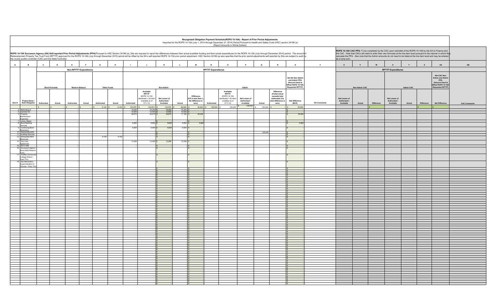| Recognized Obligation Payment Schedule (ROPS 15-16A) - Report of Prior Period Adjustments<br>Reported for the ROPS 14-15A (July 1, 2014 through December 31, 2014) Period Pursuant to Health and Safety Code (HSC) section 34186 (a)<br>(Report Amounts in Whole Dollars) |                                                                                                                                                                                                                                                                                                                                                                                                                                                                                                                                                                                                                                                                                       |            |                               |             |              |                            |                                                                                            |                                            |                                                                                                |                                                                  |                           |                                                                                             |                                            |          |                                                                                                           |                                                                                                |                    |                                            |               |            |                                            |                  |                   |                                                                                                            |                     |
|---------------------------------------------------------------------------------------------------------------------------------------------------------------------------------------------------------------------------------------------------------------------------|---------------------------------------------------------------------------------------------------------------------------------------------------------------------------------------------------------------------------------------------------------------------------------------------------------------------------------------------------------------------------------------------------------------------------------------------------------------------------------------------------------------------------------------------------------------------------------------------------------------------------------------------------------------------------------------|------------|-------------------------------|-------------|--------------|----------------------------|--------------------------------------------------------------------------------------------|--------------------------------------------|------------------------------------------------------------------------------------------------|------------------------------------------------------------------|---------------------------|---------------------------------------------------------------------------------------------|--------------------------------------------|----------|-----------------------------------------------------------------------------------------------------------|------------------------------------------------------------------------------------------------|--------------------|--------------------------------------------|---------------|------------|--------------------------------------------|------------------|-------------------|------------------------------------------------------------------------------------------------------------|---------------------|
|                                                                                                                                                                                                                                                                           | ROPS 14-15A CAC PPA: To be completed by the CAC upon submittal of the ROPS 15-16A by the SA to Finance and<br>ROPS 14-15A Successor Agency (SA) Self-reported Prior Period Adjustments (PPA)Pursuant to HSC Section 34186 (a), SAs are required to report the differences between their actual available funding and their actual expenditur<br>the CAC. Note that CACs will need to enter their own formulas at the line item level pursuant to the manner in which they<br>alculate the PPA. Also note that the Admin amounts do not need to be listed at the line item level and may be entered<br>the county auditor-controller (CAC) and the State Controller.<br>as a lump sum. |            |                               |             |              |                            |                                                                                            |                                            |                                                                                                |                                                                  |                           |                                                                                             |                                            |          |                                                                                                           |                                                                                                |                    |                                            |               |            |                                            |                  |                   |                                                                                                            |                     |
| $\overline{A}$<br>B                                                                                                                                                                                                                                                       | $\mathbf{c}$<br>$\mathbf{D}$                                                                                                                                                                                                                                                                                                                                                                                                                                                                                                                                                                                                                                                          | <b>F</b>   | $\mathbf{F}$                  | G           | $\mathbf{H}$ | $\mathbf{I}$               | $\mathbf{J}$                                                                               | $\kappa$                                   | $\mathbf{L}$                                                                                   | M                                                                | $\mathbf{N}$              | $\circ$                                                                                     | $\mathsf{P}$                               | $\alpha$ | $\mathbb{R}$                                                                                              | $\mathbf{s}$                                                                                   | T                  | $\mathbf{u}$                               | $\mathbf{v}$  | W          | $\mathbf{x}$                               | Y                | $\mathbf{z}$      | AA                                                                                                         | AB                  |
|                                                                                                                                                                                                                                                                           |                                                                                                                                                                                                                                                                                                                                                                                                                                                                                                                                                                                                                                                                                       |            | <b>Non-RPTTF Expenditures</b> |             |              |                            |                                                                                            |                                            |                                                                                                |                                                                  | <b>RPTTF Expenditures</b> |                                                                                             |                                            |          |                                                                                                           |                                                                                                |                    |                                            |               |            | <b>RPTTF Expenditures</b>                  |                  |                   |                                                                                                            |                     |
|                                                                                                                                                                                                                                                                           | <b>Bond Proceeds</b>                                                                                                                                                                                                                                                                                                                                                                                                                                                                                                                                                                                                                                                                  |            | <b>Reserve Balance</b>        | Other Funds |              |                            |                                                                                            | Non-Admin                                  |                                                                                                |                                                                  |                           |                                                                                             | Admin                                      |          |                                                                                                           | Net SA Non-Admir<br>and Admin PPA<br>(Amount Used to<br>Offset ROPS 15-16A<br>Requested RPTTF) |                    |                                            | Non-Admin CAC |            |                                            | <b>Admin CAC</b> |                   | <b>Net CAC Non-</b><br>Admin and Admin<br>PPA<br>(Amount Used to<br>Offset ROPS 15-16A<br>Requested RPTTF) |                     |
| Project Name /<br>Item # Debt Obligation                                                                                                                                                                                                                                  | Actual<br><b>Authorized</b>                                                                                                                                                                                                                                                                                                                                                                                                                                                                                                                                                                                                                                                           | Authorized | Actual                        | Authorized  | Actual       | Authorized                 | Available<br>RPTTF<br>(ROPS 14-15A<br>stributed + all other<br>available as of<br>07/1/14) | Net Lesser of<br>Authorized /<br>Available | Actual                                                                                         | Difference<br>(If K is less than L<br>the difference is<br>zero) | Authorized                | Available<br>RPTTF<br>(ROPS 14-15A<br>listributed + all other<br>available as of<br>07/1/14 | Net Lesser of<br>Authorized /<br>Available | Actual   | <b>Difference</b><br>(If total actual<br>exceeds total<br>authorized, the<br>total difference is<br>zero) | Net Difference<br>(M+R)                                                                        | <b>SA Comments</b> | Net Lesser of<br>Authorized /<br>Available | Actual        | Difference | Net Lesser of<br>Authorized /<br>Available | Actual           | <b>Difference</b> | Net Difference                                                                                             | <b>CAC Comments</b> |
|                                                                                                                                                                                                                                                                           |                                                                                                                                                                                                                                                                                                                                                                                                                                                                                                                                                                                                                                                                                       |            |                               | 9,120       | 9,120        | 103,976                    | 103,974                                                                                    | 103,974                                    | 68,683 \$                                                                                      | 35,293                                                           | \$ 125,000                | 125,000                                                                                     | 125,000                                    | 125,000  |                                                                                                           | 35,293                                                                                         |                    |                                            |               |            |                                            |                  |                   |                                                                                                            |                     |
| 2 Refunding of<br>4 Contract for                                                                                                                                                                                                                                          |                                                                                                                                                                                                                                                                                                                                                                                                                                                                                                                                                                                                                                                                                       |            |                               |             |              | 16,393<br>12,500<br>46,675 | $\frac{16,393}{12,500}$ \$<br>46,675 \$                                                    | 16,393<br>12,500<br>46,675                 | $\begin{array}{ c c c }\n\hline\n16,393 & S \\ \hline\n12,500 & S\n\end{array}$<br>$17,182$ \$ | 29,493                                                           |                           |                                                                                             |                                            |          |                                                                                                           | 29,49                                                                                          |                    |                                            |               |            |                                            |                  |                   |                                                                                                            |                     |
| 5 Property<br>Maintenance<br>Expenses                                                                                                                                                                                                                                     |                                                                                                                                                                                                                                                                                                                                                                                                                                                                                                                                                                                                                                                                                       |            |                               |             |              |                            |                                                                                            |                                            |                                                                                                |                                                                  |                           |                                                                                             |                                            |          |                                                                                                           |                                                                                                |                    |                                            |               |            |                                            |                  |                   |                                                                                                            |                     |
|                                                                                                                                                                                                                                                                           |                                                                                                                                                                                                                                                                                                                                                                                                                                                                                                                                                                                                                                                                                       |            |                               |             |              | 8,650                      | $8,650$ \$                                                                                 | 8,650                                      | $2,850$ \$                                                                                     | 5,800                                                            |                           |                                                                                             |                                            |          |                                                                                                           | 5,80                                                                                           |                    |                                            |               |            |                                            |                  |                   |                                                                                                            |                     |
| 7 Jones, Mayer<br>8 Bond Banking<br>Services<br>9 Continuing Bond<br>Disclosure                                                                                                                                                                                           |                                                                                                                                                                                                                                                                                                                                                                                                                                                                                                                                                                                                                                                                                       |            |                               |             |              | 6,500                      | 6.500 \$                                                                                   | 6.500                                      | 6.500 \$                                                                                       |                                                                  |                           |                                                                                             |                                            |          |                                                                                                           |                                                                                                |                    |                                            |               |            |                                            |                  |                   |                                                                                                            |                     |
| 10 Salaries/Benefits<br>11 Auditing Services                                                                                                                                                                                                                              |                                                                                                                                                                                                                                                                                                                                                                                                                                                                                                                                                                                                                                                                                       |            |                               |             |              |                            |                                                                                            |                                            |                                                                                                |                                                                  |                           |                                                                                             |                                            | 125,000  |                                                                                                           |                                                                                                |                    |                                            |               |            |                                            |                  |                   |                                                                                                            |                     |
| 12 Anticipated Rent<br>Revenues<br>14 City Loan                                                                                                                                                                                                                           |                                                                                                                                                                                                                                                                                                                                                                                                                                                                                                                                                                                                                                                                                       |            |                               | 9.120       | 9,120        |                            |                                                                                            |                                            |                                                                                                |                                                                  |                           |                                                                                             |                                            |          |                                                                                                           |                                                                                                |                    |                                            |               |            |                                            |                  |                   |                                                                                                            |                     |
| Agreement                                                                                                                                                                                                                                                                 |                                                                                                                                                                                                                                                                                                                                                                                                                                                                                                                                                                                                                                                                                       |            |                               |             |              | 13,258                     | $13,256$ \$                                                                                | 13,256                                     | $13,258$ \$                                                                                    |                                                                  |                           |                                                                                             |                                            |          |                                                                                                           |                                                                                                |                    |                                            |               |            |                                            |                  |                   |                                                                                                            |                     |
| 15 2013 TAB<br>16 Successor Agency<br>Bond Debt Reserv                                                                                                                                                                                                                    |                                                                                                                                                                                                                                                                                                                                                                                                                                                                                                                                                                                                                                                                                       |            |                               |             |              |                            |                                                                                            |                                            |                                                                                                |                                                                  |                           |                                                                                             |                                            |          |                                                                                                           |                                                                                                |                    |                                            |               |            |                                            |                  |                   |                                                                                                            |                     |
| Fund<br>17 Chaffey Commun                                                                                                                                                                                                                                                 |                                                                                                                                                                                                                                                                                                                                                                                                                                                                                                                                                                                                                                                                                       |            |                               |             |              |                            |                                                                                            |                                            |                                                                                                |                                                                  |                           |                                                                                             |                                            |          |                                                                                                           |                                                                                                |                    |                                            |               |            |                                            |                  |                   |                                                                                                            |                     |
| College District -                                                                                                                                                                                                                                                        |                                                                                                                                                                                                                                                                                                                                                                                                                                                                                                                                                                                                                                                                                       |            |                               |             |              |                            |                                                                                            |                                            |                                                                                                |                                                                  |                           |                                                                                             |                                            |          |                                                                                                           |                                                                                                |                    |                                            |               |            |                                            |                  |                   |                                                                                                            |                     |
| Pass Thru<br>18 San Bernardino<br>Superintendent of                                                                                                                                                                                                                       |                                                                                                                                                                                                                                                                                                                                                                                                                                                                                                                                                                                                                                                                                       |            |                               |             |              |                            |                                                                                            |                                            |                                                                                                |                                                                  |                           |                                                                                             |                                            |          |                                                                                                           |                                                                                                |                    |                                            |               |            |                                            |                  |                   |                                                                                                            |                     |
| Schools - Pass Th                                                                                                                                                                                                                                                         |                                                                                                                                                                                                                                                                                                                                                                                                                                                                                                                                                                                                                                                                                       |            |                               |             |              |                            |                                                                                            |                                            |                                                                                                |                                                                  |                           |                                                                                             |                                            |          |                                                                                                           |                                                                                                |                    |                                            |               |            |                                            |                  |                   |                                                                                                            |                     |
|                                                                                                                                                                                                                                                                           |                                                                                                                                                                                                                                                                                                                                                                                                                                                                                                                                                                                                                                                                                       |            |                               |             |              |                            |                                                                                            |                                            |                                                                                                |                                                                  |                           |                                                                                             |                                            |          |                                                                                                           |                                                                                                |                    |                                            |               |            |                                            |                  |                   |                                                                                                            |                     |
|                                                                                                                                                                                                                                                                           |                                                                                                                                                                                                                                                                                                                                                                                                                                                                                                                                                                                                                                                                                       |            |                               |             |              |                            |                                                                                            |                                            |                                                                                                |                                                                  |                           |                                                                                             |                                            |          |                                                                                                           |                                                                                                |                    |                                            |               |            |                                            |                  |                   |                                                                                                            |                     |
|                                                                                                                                                                                                                                                                           |                                                                                                                                                                                                                                                                                                                                                                                                                                                                                                                                                                                                                                                                                       |            |                               |             |              |                            |                                                                                            |                                            |                                                                                                |                                                                  |                           |                                                                                             |                                            |          |                                                                                                           |                                                                                                |                    |                                            |               |            |                                            |                  |                   |                                                                                                            |                     |
|                                                                                                                                                                                                                                                                           |                                                                                                                                                                                                                                                                                                                                                                                                                                                                                                                                                                                                                                                                                       |            |                               |             |              |                            |                                                                                            |                                            |                                                                                                |                                                                  |                           |                                                                                             |                                            |          |                                                                                                           |                                                                                                |                    |                                            |               |            |                                            |                  |                   |                                                                                                            |                     |
|                                                                                                                                                                                                                                                                           |                                                                                                                                                                                                                                                                                                                                                                                                                                                                                                                                                                                                                                                                                       |            |                               |             |              |                            |                                                                                            |                                            |                                                                                                |                                                                  |                           |                                                                                             |                                            |          |                                                                                                           |                                                                                                |                    |                                            |               |            |                                            |                  |                   |                                                                                                            |                     |
|                                                                                                                                                                                                                                                                           |                                                                                                                                                                                                                                                                                                                                                                                                                                                                                                                                                                                                                                                                                       |            |                               |             |              |                            |                                                                                            |                                            |                                                                                                |                                                                  |                           |                                                                                             |                                            |          |                                                                                                           |                                                                                                |                    |                                            |               |            |                                            |                  |                   |                                                                                                            |                     |
|                                                                                                                                                                                                                                                                           |                                                                                                                                                                                                                                                                                                                                                                                                                                                                                                                                                                                                                                                                                       |            |                               |             |              |                            |                                                                                            |                                            |                                                                                                |                                                                  |                           |                                                                                             |                                            |          |                                                                                                           |                                                                                                |                    |                                            |               |            |                                            |                  |                   |                                                                                                            |                     |
|                                                                                                                                                                                                                                                                           |                                                                                                                                                                                                                                                                                                                                                                                                                                                                                                                                                                                                                                                                                       |            |                               |             |              |                            |                                                                                            |                                            |                                                                                                |                                                                  |                           |                                                                                             |                                            |          |                                                                                                           |                                                                                                |                    |                                            |               |            |                                            |                  |                   |                                                                                                            |                     |
|                                                                                                                                                                                                                                                                           |                                                                                                                                                                                                                                                                                                                                                                                                                                                                                                                                                                                                                                                                                       |            |                               |             |              |                            |                                                                                            |                                            |                                                                                                |                                                                  |                           |                                                                                             |                                            |          |                                                                                                           |                                                                                                |                    |                                            |               |            |                                            |                  |                   |                                                                                                            |                     |
|                                                                                                                                                                                                                                                                           |                                                                                                                                                                                                                                                                                                                                                                                                                                                                                                                                                                                                                                                                                       |            |                               |             |              |                            |                                                                                            |                                            |                                                                                                |                                                                  |                           |                                                                                             |                                            |          |                                                                                                           |                                                                                                |                    |                                            |               |            |                                            |                  |                   |                                                                                                            |                     |
|                                                                                                                                                                                                                                                                           |                                                                                                                                                                                                                                                                                                                                                                                                                                                                                                                                                                                                                                                                                       |            |                               |             |              |                            |                                                                                            |                                            |                                                                                                |                                                                  |                           |                                                                                             |                                            |          |                                                                                                           |                                                                                                |                    |                                            |               |            |                                            |                  |                   |                                                                                                            |                     |
|                                                                                                                                                                                                                                                                           |                                                                                                                                                                                                                                                                                                                                                                                                                                                                                                                                                                                                                                                                                       |            |                               |             |              |                            |                                                                                            |                                            |                                                                                                |                                                                  |                           |                                                                                             |                                            |          |                                                                                                           |                                                                                                |                    |                                            |               |            |                                            |                  |                   |                                                                                                            |                     |
|                                                                                                                                                                                                                                                                           |                                                                                                                                                                                                                                                                                                                                                                                                                                                                                                                                                                                                                                                                                       |            |                               |             |              |                            |                                                                                            |                                            |                                                                                                |                                                                  |                           |                                                                                             |                                            |          |                                                                                                           |                                                                                                |                    |                                            |               |            |                                            |                  |                   |                                                                                                            |                     |
|                                                                                                                                                                                                                                                                           |                                                                                                                                                                                                                                                                                                                                                                                                                                                                                                                                                                                                                                                                                       |            |                               |             |              |                            |                                                                                            |                                            |                                                                                                |                                                                  |                           |                                                                                             |                                            |          |                                                                                                           |                                                                                                |                    |                                            |               |            |                                            |                  |                   |                                                                                                            |                     |
|                                                                                                                                                                                                                                                                           |                                                                                                                                                                                                                                                                                                                                                                                                                                                                                                                                                                                                                                                                                       |            |                               |             |              |                            |                                                                                            |                                            |                                                                                                |                                                                  |                           |                                                                                             |                                            |          |                                                                                                           |                                                                                                |                    |                                            |               |            |                                            |                  |                   |                                                                                                            |                     |
|                                                                                                                                                                                                                                                                           |                                                                                                                                                                                                                                                                                                                                                                                                                                                                                                                                                                                                                                                                                       |            |                               |             |              |                            |                                                                                            |                                            |                                                                                                |                                                                  |                           |                                                                                             |                                            |          |                                                                                                           |                                                                                                |                    |                                            |               |            |                                            |                  |                   |                                                                                                            |                     |
|                                                                                                                                                                                                                                                                           |                                                                                                                                                                                                                                                                                                                                                                                                                                                                                                                                                                                                                                                                                       |            |                               |             |              |                            |                                                                                            |                                            |                                                                                                |                                                                  |                           |                                                                                             |                                            |          |                                                                                                           |                                                                                                |                    |                                            |               |            |                                            |                  |                   |                                                                                                            |                     |
|                                                                                                                                                                                                                                                                           |                                                                                                                                                                                                                                                                                                                                                                                                                                                                                                                                                                                                                                                                                       |            |                               |             |              |                            |                                                                                            |                                            |                                                                                                |                                                                  |                           |                                                                                             |                                            |          |                                                                                                           |                                                                                                |                    |                                            |               |            |                                            |                  |                   |                                                                                                            |                     |
|                                                                                                                                                                                                                                                                           |                                                                                                                                                                                                                                                                                                                                                                                                                                                                                                                                                                                                                                                                                       |            |                               |             |              |                            |                                                                                            |                                            |                                                                                                |                                                                  |                           |                                                                                             |                                            |          |                                                                                                           |                                                                                                |                    |                                            |               |            |                                            |                  |                   |                                                                                                            |                     |
|                                                                                                                                                                                                                                                                           |                                                                                                                                                                                                                                                                                                                                                                                                                                                                                                                                                                                                                                                                                       |            |                               |             |              |                            |                                                                                            |                                            |                                                                                                |                                                                  |                           |                                                                                             |                                            |          |                                                                                                           |                                                                                                |                    |                                            |               |            |                                            |                  |                   |                                                                                                            |                     |
|                                                                                                                                                                                                                                                                           |                                                                                                                                                                                                                                                                                                                                                                                                                                                                                                                                                                                                                                                                                       |            |                               |             |              |                            |                                                                                            |                                            |                                                                                                |                                                                  |                           |                                                                                             |                                            |          |                                                                                                           |                                                                                                |                    |                                            |               |            |                                            |                  |                   |                                                                                                            |                     |
|                                                                                                                                                                                                                                                                           |                                                                                                                                                                                                                                                                                                                                                                                                                                                                                                                                                                                                                                                                                       |            |                               |             |              |                            |                                                                                            |                                            |                                                                                                |                                                                  |                           |                                                                                             |                                            |          |                                                                                                           |                                                                                                |                    |                                            |               |            |                                            |                  |                   |                                                                                                            |                     |
|                                                                                                                                                                                                                                                                           |                                                                                                                                                                                                                                                                                                                                                                                                                                                                                                                                                                                                                                                                                       |            |                               |             |              |                            |                                                                                            |                                            |                                                                                                |                                                                  |                           |                                                                                             |                                            |          |                                                                                                           |                                                                                                |                    |                                            |               |            |                                            |                  |                   |                                                                                                            |                     |
|                                                                                                                                                                                                                                                                           |                                                                                                                                                                                                                                                                                                                                                                                                                                                                                                                                                                                                                                                                                       |            |                               |             |              |                            |                                                                                            |                                            |                                                                                                |                                                                  |                           |                                                                                             |                                            |          |                                                                                                           |                                                                                                |                    |                                            |               |            |                                            |                  |                   |                                                                                                            |                     |